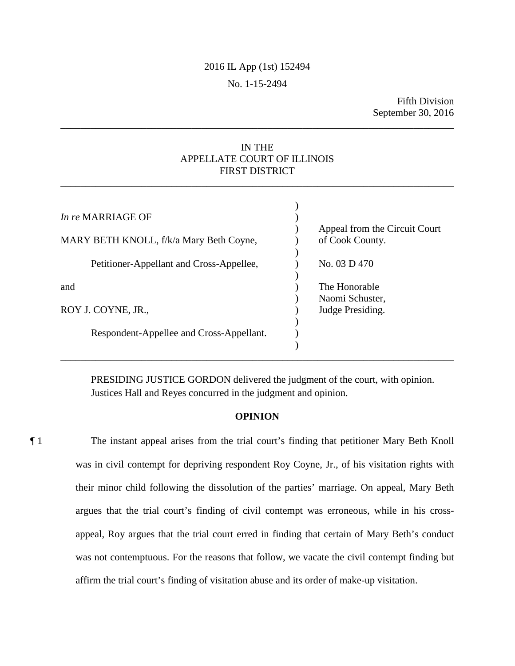# 2016 IL App (1st) 152494

# No. 1-15-2494

Fifth Division September 30, 2016

# IN THE APPELLATE COURT OF ILLINOIS FIRST DISTRICT

\_\_\_\_\_\_\_\_\_\_\_\_\_\_\_\_\_\_\_\_\_\_\_\_\_\_\_\_\_\_\_\_\_\_\_\_\_\_\_\_\_\_\_\_\_\_\_\_\_\_\_\_\_\_\_\_\_\_\_\_\_\_\_\_\_\_\_\_\_\_\_\_\_\_\_\_\_\_

\_\_\_\_\_\_\_\_\_\_\_\_\_\_\_\_\_\_\_\_\_\_\_\_\_\_\_\_\_\_\_\_\_\_\_\_\_\_\_\_\_\_\_\_\_\_\_\_\_\_\_\_\_\_\_\_\_\_\_\_\_\_\_\_\_\_\_\_\_\_\_\_\_\_\_\_\_\_

| In re MARRIAGE OF                        | Appeal from the Circuit Court       |
|------------------------------------------|-------------------------------------|
| MARY BETH KNOLL, f/k/a Mary Beth Coyne,  | of Cook County.                     |
| Petitioner-Appellant and Cross-Appellee, | No. 03 D 470                        |
| and                                      | The Honorable                       |
| ROY J. COYNE, JR.,                       | Naomi Schuster,<br>Judge Presiding. |
| Respondent-Appellee and Cross-Appellant. |                                     |

PRESIDING JUSTICE GORDON delivered the judgment of the court, with opinion. Justices Hall and Reyes concurred in the judgment and opinion.

# **OPINION**

¶ 1 The instant appeal arises from the trial court's finding that petitioner Mary Beth Knoll was in civil contempt for depriving respondent Roy Coyne, Jr., of his visitation rights with their minor child following the dissolution of the parties' marriage. On appeal, Mary Beth argues that the trial court's finding of civil contempt was erroneous, while in his crossappeal, Roy argues that the trial court erred in finding that certain of Mary Beth's conduct was not contemptuous. For the reasons that follow, we vacate the civil contempt finding but affirm the trial court's finding of visitation abuse and its order of make-up visitation.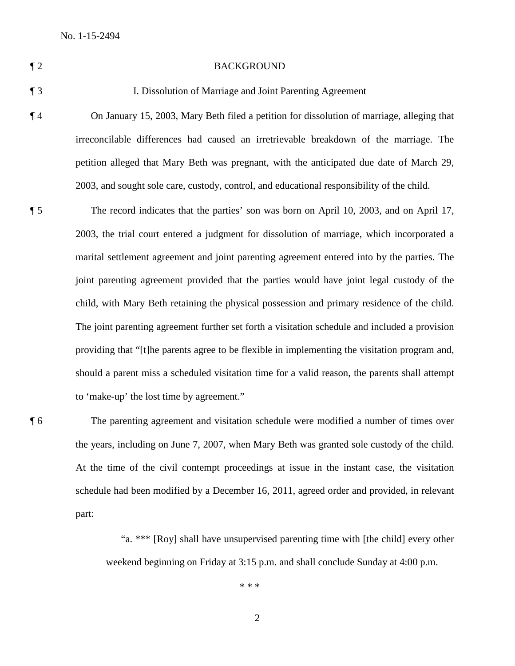### ¶ 2 BACKGROUND

## ¶ 3 I. Dissolution of Marriage and Joint Parenting Agreement

¶ 4 On January 15, 2003, Mary Beth filed a petition for dissolution of marriage, alleging that irreconcilable differences had caused an irretrievable breakdown of the marriage. The petition alleged that Mary Beth was pregnant, with the anticipated due date of March 29, 2003, and sought sole care, custody, control, and educational responsibility of the child.

¶ 5 The record indicates that the parties' son was born on April 10, 2003, and on April 17, 2003, the trial court entered a judgment for dissolution of marriage, which incorporated a marital settlement agreement and joint parenting agreement entered into by the parties. The joint parenting agreement provided that the parties would have joint legal custody of the child, with Mary Beth retaining the physical possession and primary residence of the child. The joint parenting agreement further set forth a visitation schedule and included a provision providing that "[t]he parents agree to be flexible in implementing the visitation program and, should a parent miss a scheduled visitation time for a valid reason, the parents shall attempt to 'make-up' the lost time by agreement."

¶ 6 The parenting agreement and visitation schedule were modified a number of times over the years, including on June 7, 2007, when Mary Beth was granted sole custody of the child. At the time of the civil contempt proceedings at issue in the instant case, the visitation schedule had been modified by a December 16, 2011, agreed order and provided, in relevant part:

> "a. \*\*\* [Roy] shall have unsupervised parenting time with [the child] every other weekend beginning on Friday at 3:15 p.m. and shall conclude Sunday at 4:00 p.m.

> > \* \* \*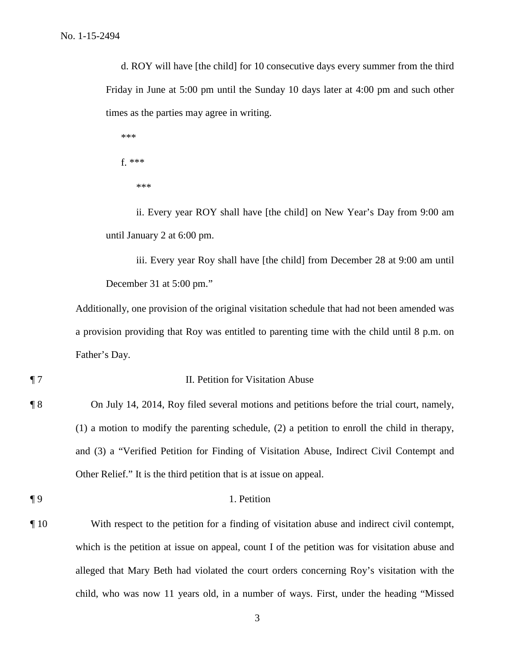d. ROY will have [the child] for 10 consecutive days every summer from the third Friday in June at 5:00 pm until the Sunday 10 days later at 4:00 pm and such other times as the parties may agree in writing.

\*\*\* f. \*\*\* \*\*\*

ii. Every year ROY shall have [the child] on New Year's Day from 9:00 am until January 2 at 6:00 pm.

iii. Every year Roy shall have [the child] from December 28 at 9:00 am until December 31 at 5:00 pm."

Additionally, one provision of the original visitation schedule that had not been amended was a provision providing that Roy was entitled to parenting time with the child until 8 p.m. on Father's Day.

# ¶ 7 II. Petition for Visitation Abuse

¶ 8 On July 14, 2014, Roy filed several motions and petitions before the trial court, namely, (1) a motion to modify the parenting schedule, (2) a petition to enroll the child in therapy, and (3) a "Verified Petition for Finding of Visitation Abuse, Indirect Civil Contempt and Other Relief." It is the third petition that is at issue on appeal.

## ¶ 9 1. Petition

¶ 10 With respect to the petition for a finding of visitation abuse and indirect civil contempt, which is the petition at issue on appeal, count I of the petition was for visitation abuse and alleged that Mary Beth had violated the court orders concerning Roy's visitation with the child, who was now 11 years old, in a number of ways. First, under the heading "Missed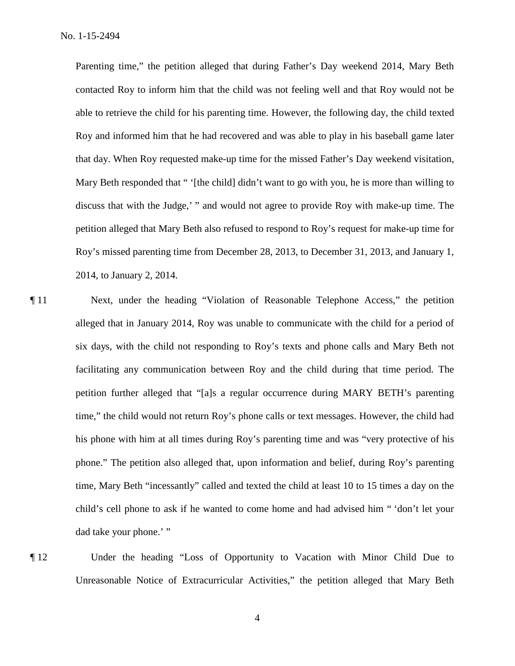Parenting time," the petition alleged that during Father's Day weekend 2014, Mary Beth contacted Roy to inform him that the child was not feeling well and that Roy would not be able to retrieve the child for his parenting time. However, the following day, the child texted Roy and informed him that he had recovered and was able to play in his baseball game later that day. When Roy requested make-up time for the missed Father's Day weekend visitation, Mary Beth responded that " '[the child] didn't want to go with you, he is more than willing to discuss that with the Judge,' " and would not agree to provide Roy with make-up time. The petition alleged that Mary Beth also refused to respond to Roy's request for make-up time for Roy's missed parenting time from December 28, 2013, to December 31, 2013, and January 1, 2014, to January 2, 2014.

- ¶ 11 Next, under the heading "Violation of Reasonable Telephone Access," the petition alleged that in January 2014, Roy was unable to communicate with the child for a period of six days, with the child not responding to Roy's texts and phone calls and Mary Beth not facilitating any communication between Roy and the child during that time period. The petition further alleged that "[a]s a regular occurrence during MARY BETH's parenting time," the child would not return Roy's phone calls or text messages. However, the child had his phone with him at all times during Roy's parenting time and was "very protective of his phone." The petition also alleged that, upon information and belief, during Roy's parenting time, Mary Beth "incessantly" called and texted the child at least 10 to 15 times a day on the child's cell phone to ask if he wanted to come home and had advised him " 'don't let your dad take your phone.' "
- 

¶ 12 Under the heading "Loss of Opportunity to Vacation with Minor Child Due to Unreasonable Notice of Extracurricular Activities," the petition alleged that Mary Beth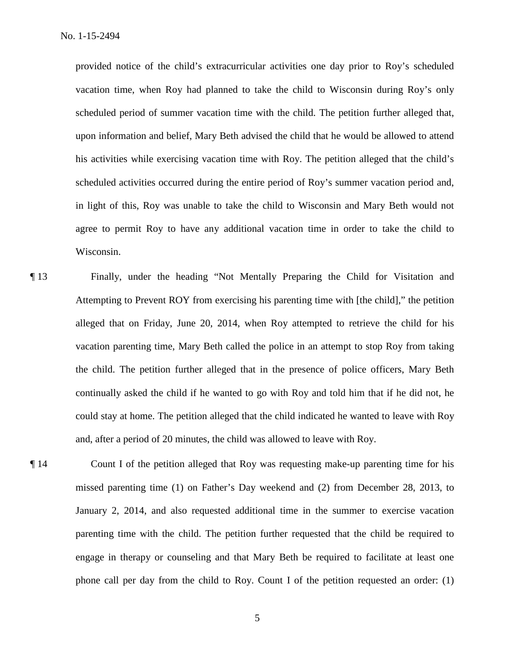provided notice of the child's extracurricular activities one day prior to Roy's scheduled vacation time, when Roy had planned to take the child to Wisconsin during Roy's only scheduled period of summer vacation time with the child. The petition further alleged that, upon information and belief, Mary Beth advised the child that he would be allowed to attend his activities while exercising vacation time with Roy. The petition alleged that the child's scheduled activities occurred during the entire period of Roy's summer vacation period and, in light of this, Roy was unable to take the child to Wisconsin and Mary Beth would not agree to permit Roy to have any additional vacation time in order to take the child to Wisconsin.

- ¶ 13 Finally, under the heading "Not Mentally Preparing the Child for Visitation and Attempting to Prevent ROY from exercising his parenting time with [the child]," the petition alleged that on Friday, June 20, 2014, when Roy attempted to retrieve the child for his vacation parenting time, Mary Beth called the police in an attempt to stop Roy from taking the child. The petition further alleged that in the presence of police officers, Mary Beth continually asked the child if he wanted to go with Roy and told him that if he did not, he could stay at home. The petition alleged that the child indicated he wanted to leave with Roy and, after a period of 20 minutes, the child was allowed to leave with Roy.
- ¶ 14 Count I of the petition alleged that Roy was requesting make-up parenting time for his missed parenting time (1) on Father's Day weekend and (2) from December 28, 2013, to January 2, 2014, and also requested additional time in the summer to exercise vacation parenting time with the child. The petition further requested that the child be required to engage in therapy or counseling and that Mary Beth be required to facilitate at least one phone call per day from the child to Roy. Count I of the petition requested an order: (1)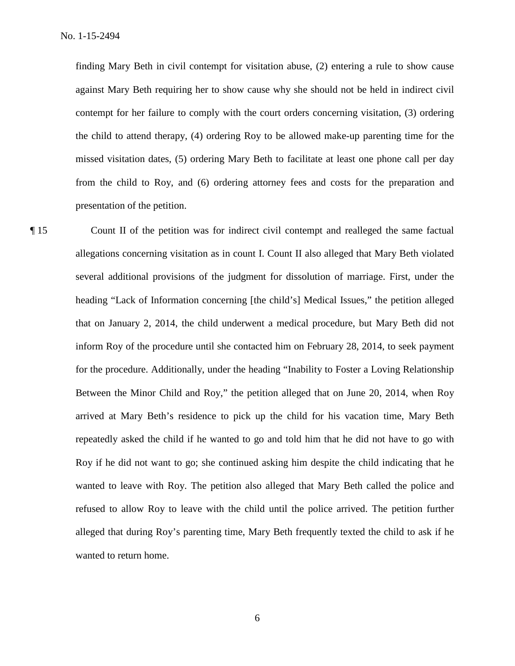finding Mary Beth in civil contempt for visitation abuse, (2) entering a rule to show cause against Mary Beth requiring her to show cause why she should not be held in indirect civil contempt for her failure to comply with the court orders concerning visitation, (3) ordering the child to attend therapy, (4) ordering Roy to be allowed make-up parenting time for the missed visitation dates, (5) ordering Mary Beth to facilitate at least one phone call per day from the child to Roy, and (6) ordering attorney fees and costs for the preparation and presentation of the petition.

¶ 15 Count II of the petition was for indirect civil contempt and realleged the same factual allegations concerning visitation as in count I. Count II also alleged that Mary Beth violated several additional provisions of the judgment for dissolution of marriage. First, under the heading "Lack of Information concerning [the child's] Medical Issues," the petition alleged that on January 2, 2014, the child underwent a medical procedure, but Mary Beth did not inform Roy of the procedure until she contacted him on February 28, 2014, to seek payment for the procedure. Additionally, under the heading "Inability to Foster a Loving Relationship Between the Minor Child and Roy," the petition alleged that on June 20, 2014, when Roy arrived at Mary Beth's residence to pick up the child for his vacation time, Mary Beth repeatedly asked the child if he wanted to go and told him that he did not have to go with Roy if he did not want to go; she continued asking him despite the child indicating that he wanted to leave with Roy. The petition also alleged that Mary Beth called the police and refused to allow Roy to leave with the child until the police arrived. The petition further alleged that during Roy's parenting time, Mary Beth frequently texted the child to ask if he wanted to return home.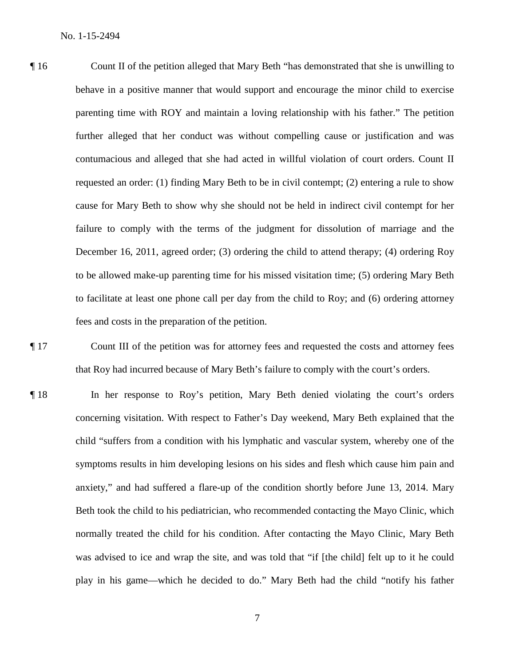¶ 16 Count II of the petition alleged that Mary Beth "has demonstrated that she is unwilling to behave in a positive manner that would support and encourage the minor child to exercise parenting time with ROY and maintain a loving relationship with his father." The petition further alleged that her conduct was without compelling cause or justification and was contumacious and alleged that she had acted in willful violation of court orders. Count II requested an order: (1) finding Mary Beth to be in civil contempt; (2) entering a rule to show cause for Mary Beth to show why she should not be held in indirect civil contempt for her failure to comply with the terms of the judgment for dissolution of marriage and the December 16, 2011, agreed order; (3) ordering the child to attend therapy; (4) ordering Roy to be allowed make-up parenting time for his missed visitation time; (5) ordering Mary Beth to facilitate at least one phone call per day from the child to Roy; and (6) ordering attorney fees and costs in the preparation of the petition.

¶ 17 Count III of the petition was for attorney fees and requested the costs and attorney fees that Roy had incurred because of Mary Beth's failure to comply with the court's orders.

¶ 18 In her response to Roy's petition, Mary Beth denied violating the court's orders concerning visitation. With respect to Father's Day weekend, Mary Beth explained that the child "suffers from a condition with his lymphatic and vascular system, whereby one of the symptoms results in him developing lesions on his sides and flesh which cause him pain and anxiety," and had suffered a flare-up of the condition shortly before June 13, 2014. Mary Beth took the child to his pediatrician, who recommended contacting the Mayo Clinic, which normally treated the child for his condition. After contacting the Mayo Clinic, Mary Beth was advised to ice and wrap the site, and was told that "if [the child] felt up to it he could play in his game—which he decided to do." Mary Beth had the child "notify his father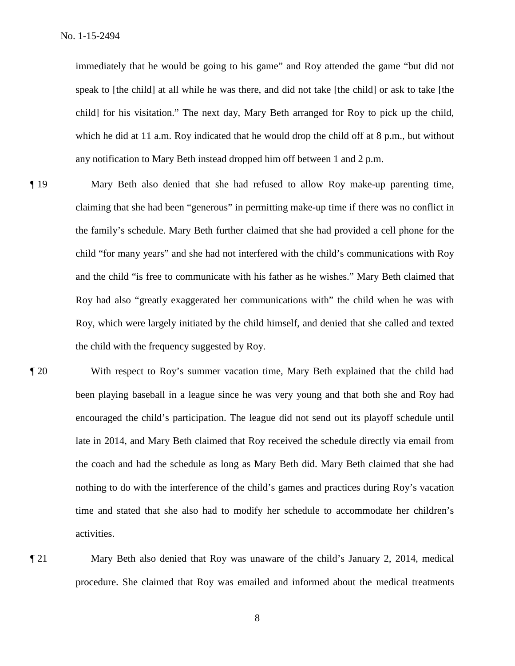immediately that he would be going to his game" and Roy attended the game "but did not speak to [the child] at all while he was there, and did not take [the child] or ask to take [the child] for his visitation." The next day, Mary Beth arranged for Roy to pick up the child, which he did at 11 a.m. Roy indicated that he would drop the child off at 8 p.m., but without any notification to Mary Beth instead dropped him off between 1 and 2 p.m.

- ¶ 19 Mary Beth also denied that she had refused to allow Roy make-up parenting time, claiming that she had been "generous" in permitting make-up time if there was no conflict in the family's schedule. Mary Beth further claimed that she had provided a cell phone for the child "for many years" and she had not interfered with the child's communications with Roy and the child "is free to communicate with his father as he wishes." Mary Beth claimed that Roy had also "greatly exaggerated her communications with" the child when he was with Roy, which were largely initiated by the child himself, and denied that she called and texted the child with the frequency suggested by Roy.
- ¶ 20 With respect to Roy's summer vacation time, Mary Beth explained that the child had been playing baseball in a league since he was very young and that both she and Roy had encouraged the child's participation. The league did not send out its playoff schedule until late in 2014, and Mary Beth claimed that Roy received the schedule directly via email from the coach and had the schedule as long as Mary Beth did. Mary Beth claimed that she had nothing to do with the interference of the child's games and practices during Roy's vacation time and stated that she also had to modify her schedule to accommodate her children's activities.
- 

¶ 21 Mary Beth also denied that Roy was unaware of the child's January 2, 2014, medical procedure. She claimed that Roy was emailed and informed about the medical treatments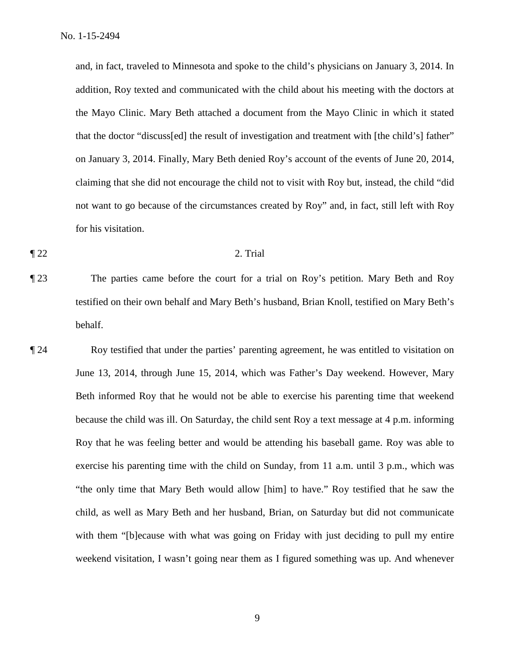and, in fact, traveled to Minnesota and spoke to the child's physicians on January 3, 2014. In addition, Roy texted and communicated with the child about his meeting with the doctors at the Mayo Clinic. Mary Beth attached a document from the Mayo Clinic in which it stated that the doctor "discuss[ed] the result of investigation and treatment with [the child's] father" on January 3, 2014. Finally, Mary Beth denied Roy's account of the events of June 20, 2014, claiming that she did not encourage the child not to visit with Roy but, instead, the child "did not want to go because of the circumstances created by Roy" and, in fact, still left with Roy for his visitation.

#### $\llbracket 22 \rrbracket$  2. Trial

¶ 23 The parties came before the court for a trial on Roy's petition. Mary Beth and Roy testified on their own behalf and Mary Beth's husband, Brian Knoll, testified on Mary Beth's behalf.

¶ 24 Roy testified that under the parties' parenting agreement, he was entitled to visitation on June 13, 2014, through June 15, 2014, which was Father's Day weekend. However, Mary Beth informed Roy that he would not be able to exercise his parenting time that weekend because the child was ill. On Saturday, the child sent Roy a text message at 4 p.m. informing Roy that he was feeling better and would be attending his baseball game. Roy was able to exercise his parenting time with the child on Sunday, from 11 a.m. until 3 p.m., which was "the only time that Mary Beth would allow [him] to have." Roy testified that he saw the child, as well as Mary Beth and her husband, Brian, on Saturday but did not communicate with them "[b]ecause with what was going on Friday with just deciding to pull my entire weekend visitation, I wasn't going near them as I figured something was up. And whenever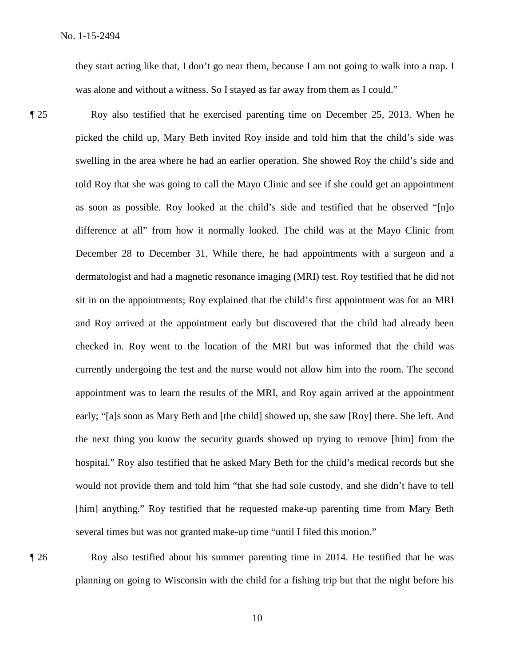they start acting like that, I don't go near them, because I am not going to walk into a trap. I was alone and without a witness. So I stayed as far away from them as I could."

¶ 25 Roy also testified that he exercised parenting time on December 25, 2013. When he picked the child up, Mary Beth invited Roy inside and told him that the child's side was swelling in the area where he had an earlier operation. She showed Roy the child's side and told Roy that she was going to call the Mayo Clinic and see if she could get an appointment as soon as possible. Roy looked at the child's side and testified that he observed "[n]o difference at all" from how it normally looked. The child was at the Mayo Clinic from December 28 to December 31. While there, he had appointments with a surgeon and a dermatologist and had a magnetic resonance imaging (MRI) test. Roy testified that he did not sit in on the appointments; Roy explained that the child's first appointment was for an MRI and Roy arrived at the appointment early but discovered that the child had already been checked in. Roy went to the location of the MRI but was informed that the child was currently undergoing the test and the nurse would not allow him into the room. The second appointment was to learn the results of the MRI, and Roy again arrived at the appointment early; "[a]s soon as Mary Beth and [the child] showed up, she saw [Roy] there. She left. And the next thing you know the security guards showed up trying to remove [him] from the hospital." Roy also testified that he asked Mary Beth for the child's medical records but she would not provide them and told him "that she had sole custody, and she didn't have to tell [him] anything." Roy testified that he requested make-up parenting time from Mary Beth several times but was not granted make-up time "until I filed this motion."

¶ 26 Roy also testified about his summer parenting time in 2014. He testified that he was planning on going to Wisconsin with the child for a fishing trip but that the night before his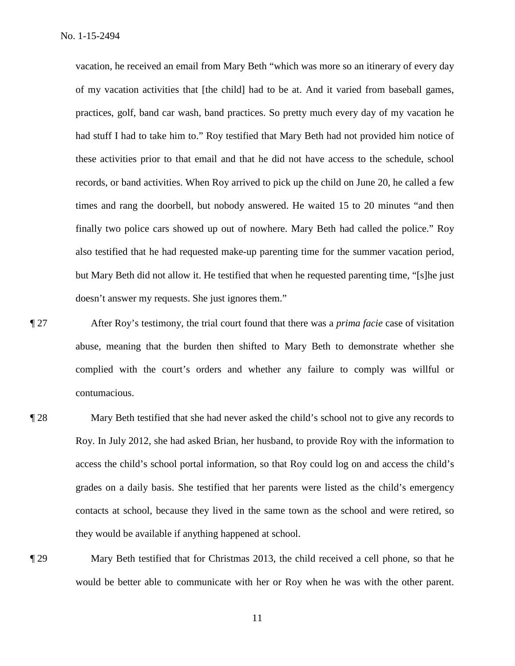vacation, he received an email from Mary Beth "which was more so an itinerary of every day of my vacation activities that [the child] had to be at. And it varied from baseball games, practices, golf, band car wash, band practices. So pretty much every day of my vacation he had stuff I had to take him to." Roy testified that Mary Beth had not provided him notice of these activities prior to that email and that he did not have access to the schedule, school records, or band activities. When Roy arrived to pick up the child on June 20, he called a few times and rang the doorbell, but nobody answered. He waited 15 to 20 minutes "and then finally two police cars showed up out of nowhere. Mary Beth had called the police." Roy also testified that he had requested make-up parenting time for the summer vacation period, but Mary Beth did not allow it. He testified that when he requested parenting time, "[s]he just doesn't answer my requests. She just ignores them."

- ¶ 27 After Roy's testimony, the trial court found that there was a *prima facie* case of visitation abuse, meaning that the burden then shifted to Mary Beth to demonstrate whether she complied with the court's orders and whether any failure to comply was willful or contumacious.
- ¶ 28 Mary Beth testified that she had never asked the child's school not to give any records to Roy. In July 2012, she had asked Brian, her husband, to provide Roy with the information to access the child's school portal information, so that Roy could log on and access the child's grades on a daily basis. She testified that her parents were listed as the child's emergency contacts at school, because they lived in the same town as the school and were retired, so they would be available if anything happened at school.
- 

¶ 29 Mary Beth testified that for Christmas 2013, the child received a cell phone, so that he would be better able to communicate with her or Roy when he was with the other parent.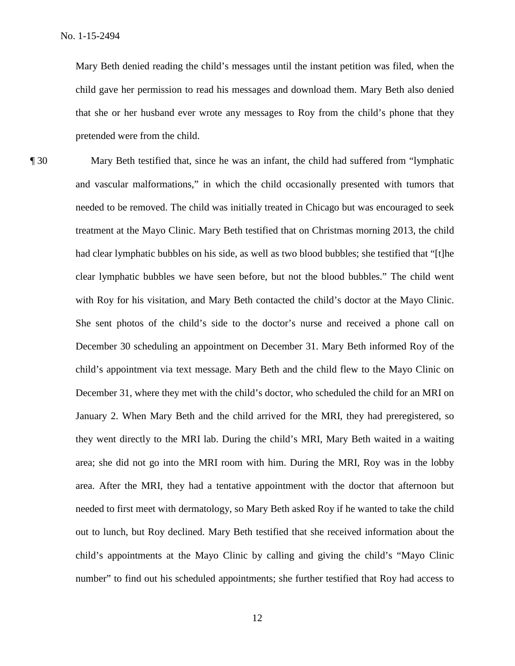Mary Beth denied reading the child's messages until the instant petition was filed, when the child gave her permission to read his messages and download them. Mary Beth also denied that she or her husband ever wrote any messages to Roy from the child's phone that they pretended were from the child.

¶ 30 Mary Beth testified that, since he was an infant, the child had suffered from "lymphatic and vascular malformations," in which the child occasionally presented with tumors that needed to be removed. The child was initially treated in Chicago but was encouraged to seek treatment at the Mayo Clinic. Mary Beth testified that on Christmas morning 2013, the child had clear lymphatic bubbles on his side, as well as two blood bubbles; she testified that "[t]he clear lymphatic bubbles we have seen before, but not the blood bubbles." The child went with Roy for his visitation, and Mary Beth contacted the child's doctor at the Mayo Clinic. She sent photos of the child's side to the doctor's nurse and received a phone call on December 30 scheduling an appointment on December 31. Mary Beth informed Roy of the child's appointment via text message. Mary Beth and the child flew to the Mayo Clinic on December 31, where they met with the child's doctor, who scheduled the child for an MRI on January 2. When Mary Beth and the child arrived for the MRI, they had preregistered, so they went directly to the MRI lab. During the child's MRI, Mary Beth waited in a waiting area; she did not go into the MRI room with him. During the MRI, Roy was in the lobby area. After the MRI, they had a tentative appointment with the doctor that afternoon but needed to first meet with dermatology, so Mary Beth asked Roy if he wanted to take the child out to lunch, but Roy declined. Mary Beth testified that she received information about the child's appointments at the Mayo Clinic by calling and giving the child's "Mayo Clinic number" to find out his scheduled appointments; she further testified that Roy had access to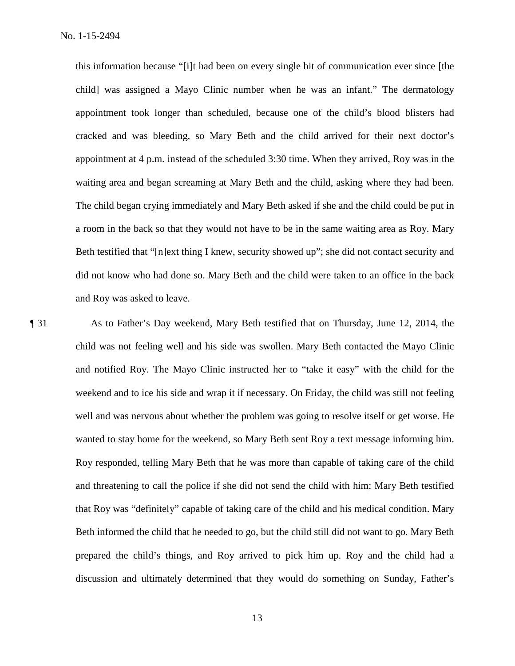this information because "[i]t had been on every single bit of communication ever since [the child] was assigned a Mayo Clinic number when he was an infant." The dermatology appointment took longer than scheduled, because one of the child's blood blisters had cracked and was bleeding, so Mary Beth and the child arrived for their next doctor's appointment at 4 p.m. instead of the scheduled 3:30 time. When they arrived, Roy was in the waiting area and began screaming at Mary Beth and the child, asking where they had been. The child began crying immediately and Mary Beth asked if she and the child could be put in a room in the back so that they would not have to be in the same waiting area as Roy. Mary Beth testified that "[n]ext thing I knew, security showed up"; she did not contact security and did not know who had done so. Mary Beth and the child were taken to an office in the back and Roy was asked to leave.

¶ 31 As to Father's Day weekend, Mary Beth testified that on Thursday, June 12, 2014, the child was not feeling well and his side was swollen. Mary Beth contacted the Mayo Clinic and notified Roy. The Mayo Clinic instructed her to "take it easy" with the child for the weekend and to ice his side and wrap it if necessary. On Friday, the child was still not feeling well and was nervous about whether the problem was going to resolve itself or get worse. He wanted to stay home for the weekend, so Mary Beth sent Roy a text message informing him. Roy responded, telling Mary Beth that he was more than capable of taking care of the child and threatening to call the police if she did not send the child with him; Mary Beth testified that Roy was "definitely" capable of taking care of the child and his medical condition. Mary Beth informed the child that he needed to go, but the child still did not want to go. Mary Beth prepared the child's things, and Roy arrived to pick him up. Roy and the child had a discussion and ultimately determined that they would do something on Sunday, Father's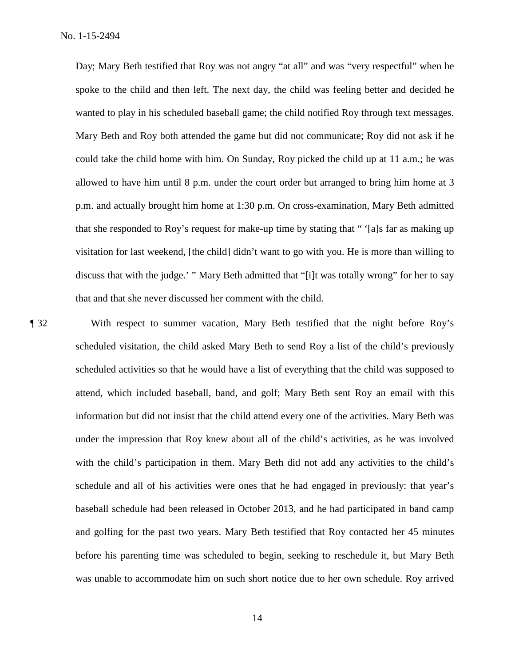Day; Mary Beth testified that Roy was not angry "at all" and was "very respectful" when he spoke to the child and then left. The next day, the child was feeling better and decided he wanted to play in his scheduled baseball game; the child notified Roy through text messages. Mary Beth and Roy both attended the game but did not communicate; Roy did not ask if he could take the child home with him. On Sunday, Roy picked the child up at 11 a.m.; he was allowed to have him until 8 p.m. under the court order but arranged to bring him home at 3 p.m. and actually brought him home at 1:30 p.m. On cross-examination, Mary Beth admitted that she responded to Roy's request for make-up time by stating that " '[a]s far as making up visitation for last weekend, [the child] didn't want to go with you. He is more than willing to discuss that with the judge.' " Mary Beth admitted that "[i]t was totally wrong" for her to say that and that she never discussed her comment with the child.

¶ 32 With respect to summer vacation, Mary Beth testified that the night before Roy's scheduled visitation, the child asked Mary Beth to send Roy a list of the child's previously scheduled activities so that he would have a list of everything that the child was supposed to attend, which included baseball, band, and golf; Mary Beth sent Roy an email with this information but did not insist that the child attend every one of the activities. Mary Beth was under the impression that Roy knew about all of the child's activities, as he was involved with the child's participation in them. Mary Beth did not add any activities to the child's schedule and all of his activities were ones that he had engaged in previously: that year's baseball schedule had been released in October 2013, and he had participated in band camp and golfing for the past two years. Mary Beth testified that Roy contacted her 45 minutes before his parenting time was scheduled to begin, seeking to reschedule it, but Mary Beth was unable to accommodate him on such short notice due to her own schedule. Roy arrived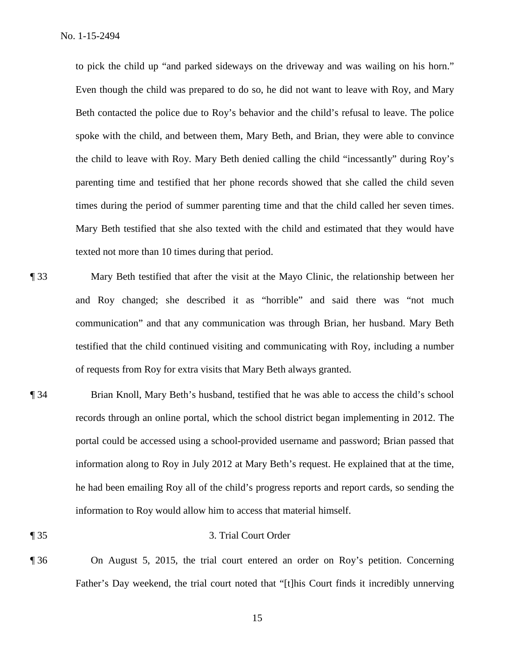to pick the child up "and parked sideways on the driveway and was wailing on his horn." Even though the child was prepared to do so, he did not want to leave with Roy, and Mary Beth contacted the police due to Roy's behavior and the child's refusal to leave. The police spoke with the child, and between them, Mary Beth, and Brian, they were able to convince the child to leave with Roy. Mary Beth denied calling the child "incessantly" during Roy's parenting time and testified that her phone records showed that she called the child seven times during the period of summer parenting time and that the child called her seven times. Mary Beth testified that she also texted with the child and estimated that they would have texted not more than 10 times during that period.

- ¶ 33 Mary Beth testified that after the visit at the Mayo Clinic, the relationship between her and Roy changed; she described it as "horrible" and said there was "not much communication" and that any communication was through Brian, her husband. Mary Beth testified that the child continued visiting and communicating with Roy, including a number of requests from Roy for extra visits that Mary Beth always granted.
- ¶ 34 Brian Knoll, Mary Beth's husband, testified that he was able to access the child's school records through an online portal, which the school district began implementing in 2012. The portal could be accessed using a school-provided username and password; Brian passed that information along to Roy in July 2012 at Mary Beth's request. He explained that at the time, he had been emailing Roy all of the child's progress reports and report cards, so sending the information to Roy would allow him to access that material himself.
- ¶ 35 3. Trial Court Order
	-
- ¶ 36 On August 5, 2015, the trial court entered an order on Roy's petition. Concerning Father's Day weekend, the trial court noted that "[t]his Court finds it incredibly unnerving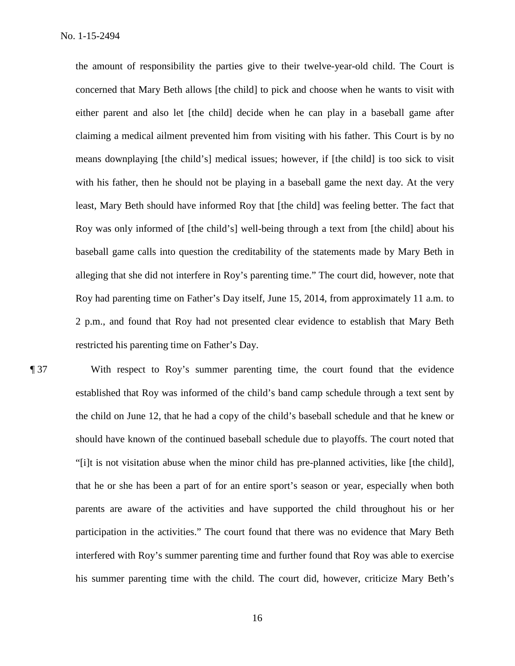the amount of responsibility the parties give to their twelve-year-old child. The Court is concerned that Mary Beth allows [the child] to pick and choose when he wants to visit with either parent and also let [the child] decide when he can play in a baseball game after claiming a medical ailment prevented him from visiting with his father. This Court is by no means downplaying [the child's] medical issues; however, if [the child] is too sick to visit with his father, then he should not be playing in a baseball game the next day. At the very least, Mary Beth should have informed Roy that [the child] was feeling better. The fact that Roy was only informed of [the child's] well-being through a text from [the child] about his baseball game calls into question the creditability of the statements made by Mary Beth in alleging that she did not interfere in Roy's parenting time." The court did, however, note that Roy had parenting time on Father's Day itself, June 15, 2014, from approximately 11 a.m. to 2 p.m., and found that Roy had not presented clear evidence to establish that Mary Beth restricted his parenting time on Father's Day.

¶ 37 With respect to Roy's summer parenting time, the court found that the evidence established that Roy was informed of the child's band camp schedule through a text sent by the child on June 12, that he had a copy of the child's baseball schedule and that he knew or should have known of the continued baseball schedule due to playoffs. The court noted that "[i]t is not visitation abuse when the minor child has pre-planned activities, like [the child], that he or she has been a part of for an entire sport's season or year, especially when both parents are aware of the activities and have supported the child throughout his or her participation in the activities." The court found that there was no evidence that Mary Beth interfered with Roy's summer parenting time and further found that Roy was able to exercise his summer parenting time with the child. The court did, however, criticize Mary Beth's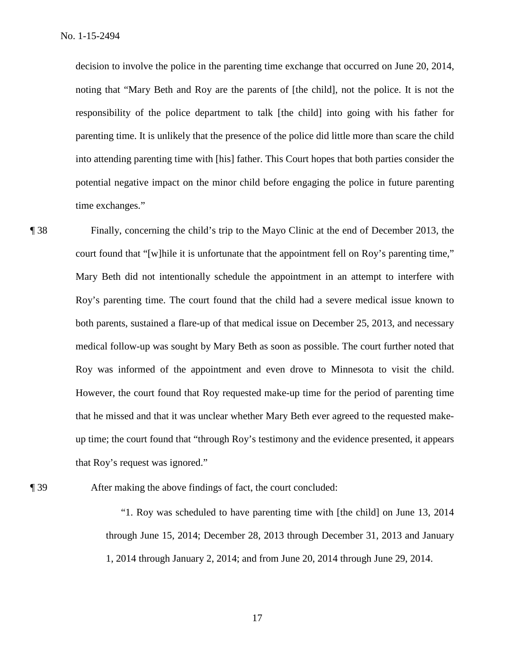decision to involve the police in the parenting time exchange that occurred on June 20, 2014, noting that "Mary Beth and Roy are the parents of [the child], not the police. It is not the responsibility of the police department to talk [the child] into going with his father for parenting time. It is unlikely that the presence of the police did little more than scare the child into attending parenting time with [his] father. This Court hopes that both parties consider the potential negative impact on the minor child before engaging the police in future parenting time exchanges."

¶ 38 Finally, concerning the child's trip to the Mayo Clinic at the end of December 2013, the court found that "[w]hile it is unfortunate that the appointment fell on Roy's parenting time," Mary Beth did not intentionally schedule the appointment in an attempt to interfere with Roy's parenting time. The court found that the child had a severe medical issue known to both parents, sustained a flare-up of that medical issue on December 25, 2013, and necessary medical follow-up was sought by Mary Beth as soon as possible. The court further noted that Roy was informed of the appointment and even drove to Minnesota to visit the child. However, the court found that Roy requested make-up time for the period of parenting time that he missed and that it was unclear whether Mary Beth ever agreed to the requested makeup time; the court found that "through Roy's testimony and the evidence presented, it appears that Roy's request was ignored."

¶ 39 After making the above findings of fact, the court concluded:

"1. Roy was scheduled to have parenting time with [the child] on June 13, 2014 through June 15, 2014; December 28, 2013 through December 31, 2013 and January 1, 2014 through January 2, 2014; and from June 20, 2014 through June 29, 2014.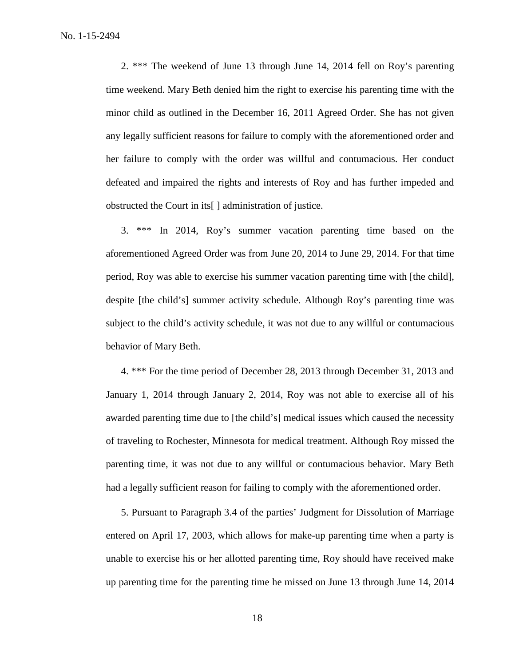2. \*\*\* The weekend of June 13 through June 14, 2014 fell on Roy's parenting time weekend. Mary Beth denied him the right to exercise his parenting time with the minor child as outlined in the December 16, 2011 Agreed Order. She has not given any legally sufficient reasons for failure to comply with the aforementioned order and her failure to comply with the order was willful and contumacious. Her conduct defeated and impaired the rights and interests of Roy and has further impeded and obstructed the Court in its[ ] administration of justice.

3. \*\*\* In 2014, Roy's summer vacation parenting time based on the aforementioned Agreed Order was from June 20, 2014 to June 29, 2014. For that time period, Roy was able to exercise his summer vacation parenting time with [the child], despite [the child's] summer activity schedule. Although Roy's parenting time was subject to the child's activity schedule, it was not due to any willful or contumacious behavior of Mary Beth.

4. \*\*\* For the time period of December 28, 2013 through December 31, 2013 and January 1, 2014 through January 2, 2014, Roy was not able to exercise all of his awarded parenting time due to [the child's] medical issues which caused the necessity of traveling to Rochester, Minnesota for medical treatment. Although Roy missed the parenting time, it was not due to any willful or contumacious behavior. Mary Beth had a legally sufficient reason for failing to comply with the aforementioned order.

5. Pursuant to Paragraph 3.4 of the parties' Judgment for Dissolution of Marriage entered on April 17, 2003, which allows for make-up parenting time when a party is unable to exercise his or her allotted parenting time, Roy should have received make up parenting time for the parenting time he missed on June 13 through June 14, 2014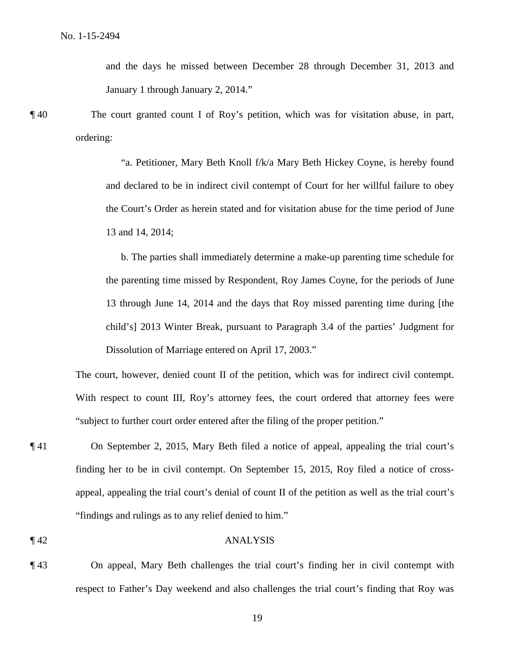and the days he missed between December 28 through December 31, 2013 and January 1 through January 2, 2014."

¶ 40 The court granted count I of Roy's petition, which was for visitation abuse, in part, ordering:

> "a. Petitioner, Mary Beth Knoll f/k/a Mary Beth Hickey Coyne, is hereby found and declared to be in indirect civil contempt of Court for her willful failure to obey the Court's Order as herein stated and for visitation abuse for the time period of June 13 and 14, 2014;

> b. The parties shall immediately determine a make-up parenting time schedule for the parenting time missed by Respondent, Roy James Coyne, for the periods of June 13 through June 14, 2014 and the days that Roy missed parenting time during [the child's] 2013 Winter Break, pursuant to Paragraph 3.4 of the parties' Judgment for Dissolution of Marriage entered on April 17, 2003."

The court, however, denied count II of the petition, which was for indirect civil contempt. With respect to count III, Roy's attorney fees, the court ordered that attorney fees were "subject to further court order entered after the filing of the proper petition."

¶ 41 On September 2, 2015, Mary Beth filed a notice of appeal, appealing the trial court's finding her to be in civil contempt. On September 15, 2015, Roy filed a notice of crossappeal, appealing the trial court's denial of count II of the petition as well as the trial court's "findings and rulings as to any relief denied to him."

## ¶ 42 ANALYSIS

¶ 43 On appeal, Mary Beth challenges the trial court's finding her in civil contempt with respect to Father's Day weekend and also challenges the trial court's finding that Roy was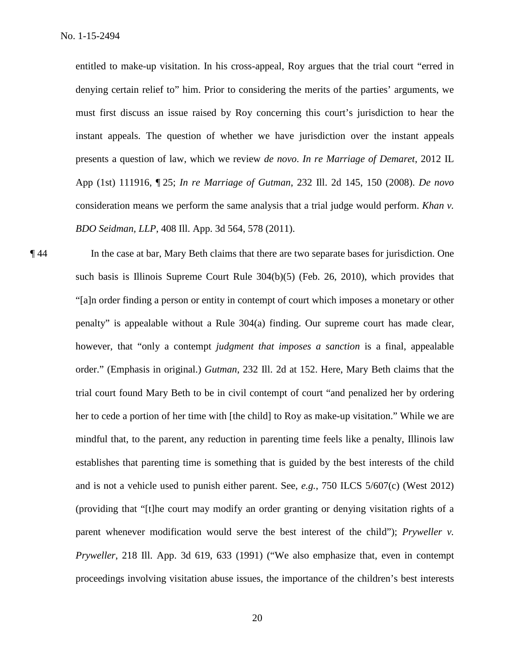entitled to make-up visitation. In his cross-appeal, Roy argues that the trial court "erred in denying certain relief to" him. Prior to considering the merits of the parties' arguments, we must first discuss an issue raised by Roy concerning this court's jurisdiction to hear the instant appeals. The question of whether we have jurisdiction over the instant appeals presents a question of law, which we review *de novo*. *In re Marriage of Demaret*, 2012 IL App (1st) 111916, ¶ 25; *In re Marriage of Gutman*, 232 Ill. 2d 145, 150 (2008). *De novo* consideration means we perform the same analysis that a trial judge would perform. *Khan v. BDO Seidman, LLP*, 408 Ill. App. 3d 564, 578 (2011).

¶ 44 In the case at bar, Mary Beth claims that there are two separate bases for jurisdiction. One such basis is Illinois Supreme Court Rule 304(b)(5) (Feb. 26, 2010), which provides that "[a]n order finding a person or entity in contempt of court which imposes a monetary or other penalty" is appealable without a Rule 304(a) finding. Our supreme court has made clear, however, that "only a contempt *judgment that imposes a sanction* is a final, appealable order." (Emphasis in original.) *Gutman*, 232 Ill. 2d at 152. Here, Mary Beth claims that the trial court found Mary Beth to be in civil contempt of court "and penalized her by ordering her to cede a portion of her time with [the child] to Roy as make-up visitation." While we are mindful that, to the parent, any reduction in parenting time feels like a penalty, Illinois law establishes that parenting time is something that is guided by the best interests of the child and is not a vehicle used to punish either parent. See, *e.g.*, 750 ILCS 5/607(c) (West 2012) (providing that "[t]he court may modify an order granting or denying visitation rights of a parent whenever modification would serve the best interest of the child"); *Pryweller v. Pryweller*, 218 Ill. App. 3d 619, 633 (1991) ("We also emphasize that, even in contempt proceedings involving visitation abuse issues, the importance of the children's best interests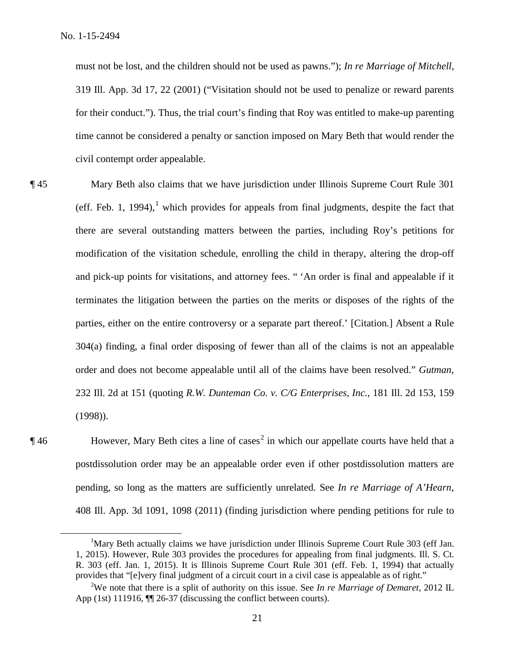must not be lost, and the children should not be used as pawns."); *In re Marriage of Mitchell*, 319 Ill. App. 3d 17, 22 (2001) ("Visitation should not be used to penalize or reward parents for their conduct."). Thus, the trial court's finding that Roy was entitled to make-up parenting time cannot be considered a penalty or sanction imposed on Mary Beth that would render the civil contempt order appealable.

¶ 45 Mary Beth also claims that we have jurisdiction under Illinois Supreme Court Rule 301 (eff. Feb. 1, 1994),<sup>1</sup> which provides for appeals from final judgments, despite the fact that there are several outstanding matters between the parties, including Roy's petitions for modification of the visitation schedule, enrolling the child in therapy, altering the drop-off and pick-up points for visitations, and attorney fees. " 'An order is final and appealable if it terminates the litigation between the parties on the merits or disposes of the rights of the parties, either on the entire controversy or a separate part thereof.' [Citation.] Absent a Rule 304(a) finding, a final order disposing of fewer than all of the claims is not an appealable order and does not become appealable until all of the claims have been resolved." *Gutman*, 232 Ill. 2d at 151 (quoting *R.W. Dunteman Co. v. C/G Enterprises, Inc.*, 181 Ill. 2d 153, 159 (1998)).

 $\P$ 46 However, Mary Beth cites a line of cases<sup>2</sup> in which our appellate courts have held that a postdissolution order may be an appealable order even if other postdissolution matters are pending, so long as the matters are sufficiently unrelated. See *In re Marriage of A'Hearn*, 408 Ill. App. 3d 1091, 1098 (2011) (finding jurisdiction where pending petitions for rule to

 $\overline{\phantom{a}}$ <sup>1</sup>Mary Beth actually claims we have jurisdiction under Illinois Supreme Court Rule 303 (eff Jan. 1, 2015). However, Rule 303 provides the procedures for appealing from final judgments. Ill. S. Ct. R. 303 (eff. Jan. 1, 2015). It is Illinois Supreme Court Rule 301 (eff. Feb. 1, 1994) that actually provides that "[e]very final judgment of a circuit court in a civil case is appealable as of right."

<sup>2</sup> We note that there is a split of authority on this issue. See *In re Marriage of Demaret*, 2012 IL App (1st) 111916,  $\P$  26-37 (discussing the conflict between courts).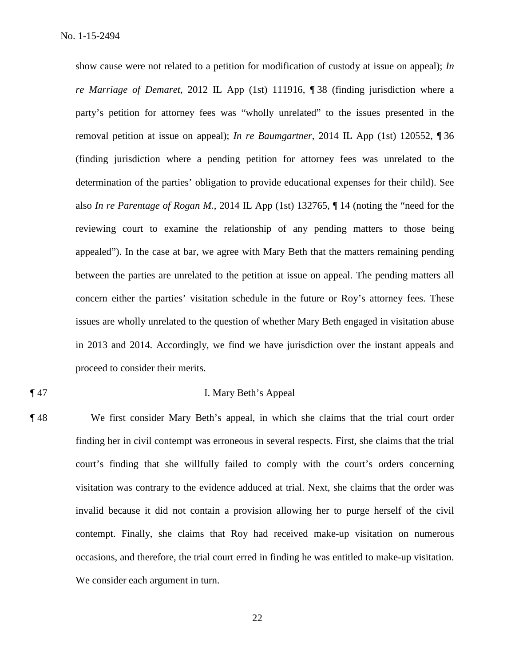show cause were not related to a petition for modification of custody at issue on appeal); *In re Marriage of Demaret*, 2012 IL App (1st) 111916, ¶ 38 (finding jurisdiction where a party's petition for attorney fees was "wholly unrelated" to the issues presented in the removal petition at issue on appeal); *In re Baumgartner*, 2014 IL App (1st) 120552, ¶ 36 (finding jurisdiction where a pending petition for attorney fees was unrelated to the determination of the parties' obligation to provide educational expenses for their child). See also *In re Parentage of Rogan M.*, 2014 IL App (1st) 132765, ¶ 14 (noting the "need for the reviewing court to examine the relationship of any pending matters to those being appealed"). In the case at bar, we agree with Mary Beth that the matters remaining pending between the parties are unrelated to the petition at issue on appeal. The pending matters all concern either the parties' visitation schedule in the future or Roy's attorney fees. These issues are wholly unrelated to the question of whether Mary Beth engaged in visitation abuse in 2013 and 2014. Accordingly, we find we have jurisdiction over the instant appeals and proceed to consider their merits.

# ¶ 47 I. Mary Beth's Appeal

¶ 48 We first consider Mary Beth's appeal, in which she claims that the trial court order finding her in civil contempt was erroneous in several respects. First, she claims that the trial court's finding that she willfully failed to comply with the court's orders concerning visitation was contrary to the evidence adduced at trial. Next, she claims that the order was invalid because it did not contain a provision allowing her to purge herself of the civil contempt. Finally, she claims that Roy had received make-up visitation on numerous occasions, and therefore, the trial court erred in finding he was entitled to make-up visitation. We consider each argument in turn.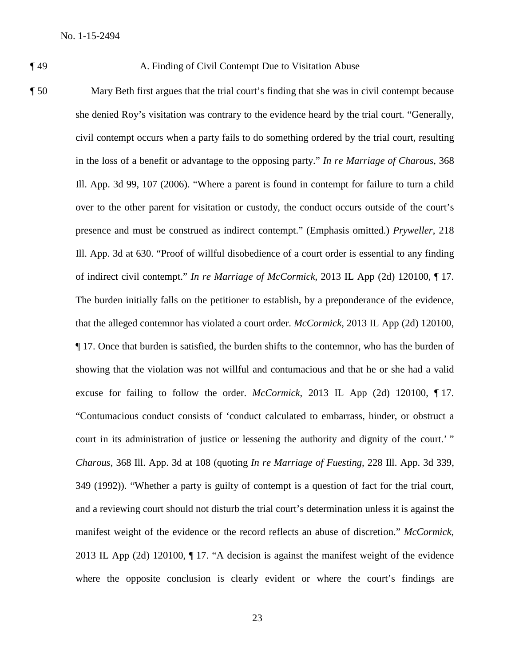### ¶ 49 A. Finding of Civil Contempt Due to Visitation Abuse

¶ 50 Mary Beth first argues that the trial court's finding that she was in civil contempt because she denied Roy's visitation was contrary to the evidence heard by the trial court. "Generally, civil contempt occurs when a party fails to do something ordered by the trial court, resulting in the loss of a benefit or advantage to the opposing party." *In re Marriage of Charous*, 368 Ill. App. 3d 99, 107 (2006). "Where a parent is found in contempt for failure to turn a child over to the other parent for visitation or custody, the conduct occurs outside of the court's presence and must be construed as indirect contempt." (Emphasis omitted.) *Pryweller*, 218 Ill. App. 3d at 630. "Proof of willful disobedience of a court order is essential to any finding of indirect civil contempt." *In re Marriage of McCormick*, 2013 IL App (2d) 120100, ¶ 17. The burden initially falls on the petitioner to establish, by a preponderance of the evidence, that the alleged contemnor has violated a court order. *McCormick*, 2013 IL App (2d) 120100, ¶ 17. Once that burden is satisfied, the burden shifts to the contemnor, who has the burden of showing that the violation was not willful and contumacious and that he or she had a valid excuse for failing to follow the order. *McCormick*, 2013 IL App (2d) 120100, ¶ 17. "Contumacious conduct consists of 'conduct calculated to embarrass, hinder, or obstruct a court in its administration of justice or lessening the authority and dignity of the court.' " *Charous*, 368 Ill. App. 3d at 108 (quoting *In re Marriage of Fuesting*, 228 Ill. App. 3d 339, 349 (1992)). "Whether a party is guilty of contempt is a question of fact for the trial court, and a reviewing court should not disturb the trial court's determination unless it is against the manifest weight of the evidence or the record reflects an abuse of discretion." *McCormick*, 2013 IL App (2d) 120100, ¶ 17. "A decision is against the manifest weight of the evidence where the opposite conclusion is clearly evident or where the court's findings are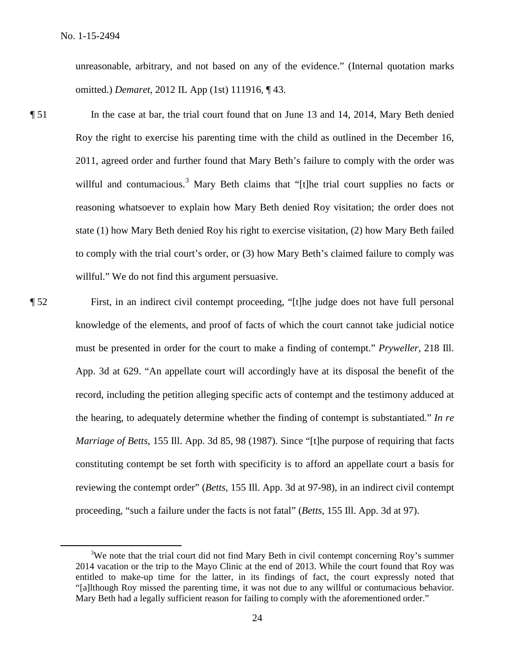unreasonable, arbitrary, and not based on any of the evidence." (Internal quotation marks omitted.) *Demaret*, 2012 IL App (1st) 111916, ¶ 43.

- ¶ 51 In the case at bar, the trial court found that on June 13 and 14, 2014, Mary Beth denied Roy the right to exercise his parenting time with the child as outlined in the December 16, 2011, agreed order and further found that Mary Beth's failure to comply with the order was willful and contumacious.<sup>3</sup> Mary Beth claims that "[t]he trial court supplies no facts or reasoning whatsoever to explain how Mary Beth denied Roy visitation; the order does not state (1) how Mary Beth denied Roy his right to exercise visitation, (2) how Mary Beth failed to comply with the trial court's order, or (3) how Mary Beth's claimed failure to comply was willful." We do not find this argument persuasive.
- ¶ 52 First, in an indirect civil contempt proceeding, "[t]he judge does not have full personal knowledge of the elements, and proof of facts of which the court cannot take judicial notice must be presented in order for the court to make a finding of contempt." *Pryweller*, 218 Ill. App. 3d at 629. "An appellate court will accordingly have at its disposal the benefit of the record, including the petition alleging specific acts of contempt and the testimony adduced at the hearing, to adequately determine whether the finding of contempt is substantiated." *In re Marriage of Betts*, 155 Ill. App. 3d 85, 98 (1987). Since "[t]he purpose of requiring that facts constituting contempt be set forth with specificity is to afford an appellate court a basis for reviewing the contempt order" (*Betts*, 155 Ill. App. 3d at 97-98), in an indirect civil contempt proceeding, "such a failure under the facts is not fatal" (*Betts*, 155 Ill. App. 3d at 97).

 $\frac{1}{3}$  $3W$ e note that the trial court did not find Mary Beth in civil contempt concerning Roy's summer 2014 vacation or the trip to the Mayo Clinic at the end of 2013. While the court found that Roy was entitled to make-up time for the latter, in its findings of fact, the court expressly noted that "[a]lthough Roy missed the parenting time, it was not due to any willful or contumacious behavior. Mary Beth had a legally sufficient reason for failing to comply with the aforementioned order."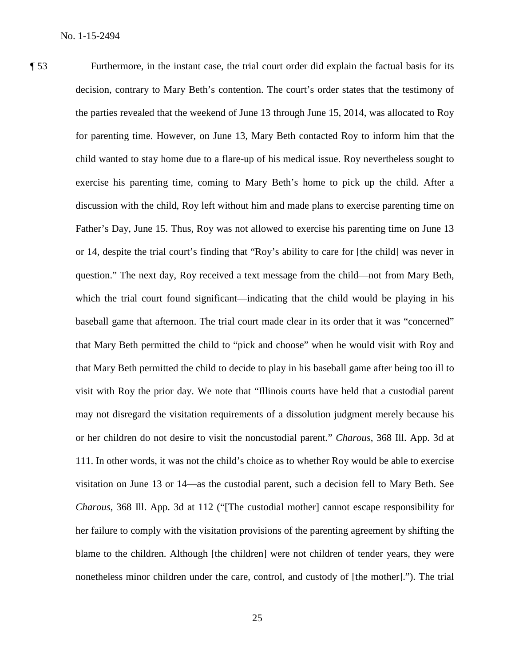¶ 53 Furthermore, in the instant case, the trial court order did explain the factual basis for its decision, contrary to Mary Beth's contention. The court's order states that the testimony of the parties revealed that the weekend of June 13 through June 15, 2014, was allocated to Roy for parenting time. However, on June 13, Mary Beth contacted Roy to inform him that the child wanted to stay home due to a flare-up of his medical issue. Roy nevertheless sought to exercise his parenting time, coming to Mary Beth's home to pick up the child. After a discussion with the child, Roy left without him and made plans to exercise parenting time on Father's Day, June 15. Thus, Roy was not allowed to exercise his parenting time on June 13 or 14, despite the trial court's finding that "Roy's ability to care for [the child] was never in question." The next day, Roy received a text message from the child—not from Mary Beth, which the trial court found significant—indicating that the child would be playing in his baseball game that afternoon. The trial court made clear in its order that it was "concerned" that Mary Beth permitted the child to "pick and choose" when he would visit with Roy and that Mary Beth permitted the child to decide to play in his baseball game after being too ill to visit with Roy the prior day. We note that "Illinois courts have held that a custodial parent may not disregard the visitation requirements of a dissolution judgment merely because his or her children do not desire to visit the noncustodial parent." *Charous*, 368 Ill. App. 3d at 111. In other words, it was not the child's choice as to whether Roy would be able to exercise visitation on June 13 or 14—as the custodial parent, such a decision fell to Mary Beth. See *Charous*, 368 Ill. App. 3d at 112 ("[The custodial mother] cannot escape responsibility for her failure to comply with the visitation provisions of the parenting agreement by shifting the blame to the children. Although [the children] were not children of tender years, they were nonetheless minor children under the care, control, and custody of [the mother]."). The trial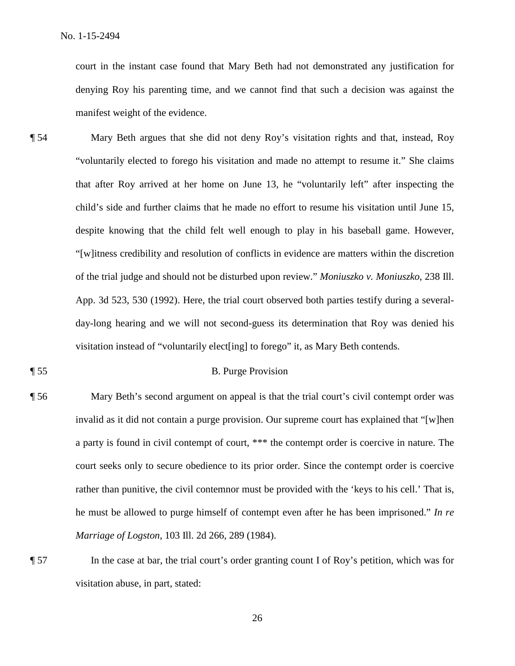court in the instant case found that Mary Beth had not demonstrated any justification for denying Roy his parenting time, and we cannot find that such a decision was against the manifest weight of the evidence.

¶ 54 Mary Beth argues that she did not deny Roy's visitation rights and that, instead, Roy "voluntarily elected to forego his visitation and made no attempt to resume it." She claims that after Roy arrived at her home on June 13, he "voluntarily left" after inspecting the child's side and further claims that he made no effort to resume his visitation until June 15, despite knowing that the child felt well enough to play in his baseball game. However, "[w]itness credibility and resolution of conflicts in evidence are matters within the discretion of the trial judge and should not be disturbed upon review." *Moniuszko v. Moniuszko*, 238 Ill. App. 3d 523, 530 (1992). Here, the trial court observed both parties testify during a severalday-long hearing and we will not second-guess its determination that Roy was denied his visitation instead of "voluntarily elect[ing] to forego" it, as Mary Beth contends.

# ¶ 55 B. Purge Provision

- ¶ 56 Mary Beth's second argument on appeal is that the trial court's civil contempt order was invalid as it did not contain a purge provision. Our supreme court has explained that "[w]hen a party is found in civil contempt of court, \*\*\* the contempt order is coercive in nature. The court seeks only to secure obedience to its prior order. Since the contempt order is coercive rather than punitive, the civil contemnor must be provided with the 'keys to his cell.' That is, he must be allowed to purge himself of contempt even after he has been imprisoned." *In re Marriage of Logston*, 103 Ill. 2d 266, 289 (1984).
- 

¶ 57 In the case at bar, the trial court's order granting count I of Roy's petition, which was for visitation abuse, in part, stated: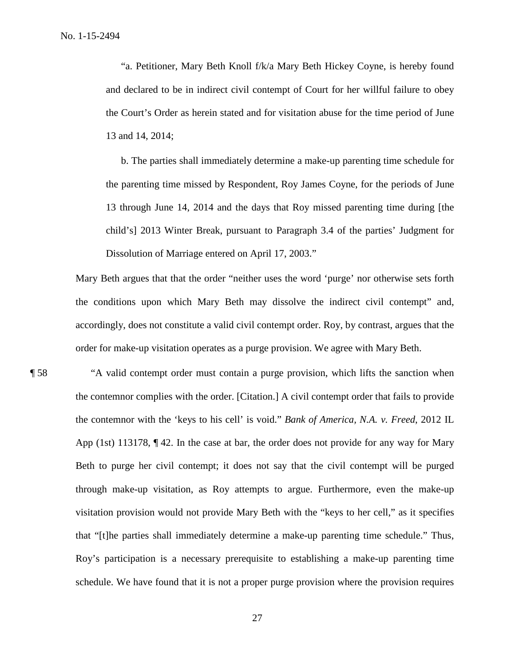"a. Petitioner, Mary Beth Knoll f/k/a Mary Beth Hickey Coyne, is hereby found and declared to be in indirect civil contempt of Court for her willful failure to obey the Court's Order as herein stated and for visitation abuse for the time period of June 13 and 14, 2014;

b. The parties shall immediately determine a make-up parenting time schedule for the parenting time missed by Respondent, Roy James Coyne, for the periods of June 13 through June 14, 2014 and the days that Roy missed parenting time during [the child's] 2013 Winter Break, pursuant to Paragraph 3.4 of the parties' Judgment for Dissolution of Marriage entered on April 17, 2003."

Mary Beth argues that that the order "neither uses the word 'purge' nor otherwise sets forth the conditions upon which Mary Beth may dissolve the indirect civil contempt" and, accordingly, does not constitute a valid civil contempt order. Roy, by contrast, argues that the order for make-up visitation operates as a purge provision. We agree with Mary Beth.

¶ 58 "A valid contempt order must contain a purge provision, which lifts the sanction when the contemnor complies with the order. [Citation.] A civil contempt order that fails to provide the contemnor with the 'keys to his cell' is void." *Bank of America, N.A. v. Freed*, 2012 IL App (1st) 113178,  $\P$ 42. In the case at bar, the order does not provide for any way for Mary Beth to purge her civil contempt; it does not say that the civil contempt will be purged through make-up visitation, as Roy attempts to argue. Furthermore, even the make-up visitation provision would not provide Mary Beth with the "keys to her cell," as it specifies that "[t]he parties shall immediately determine a make-up parenting time schedule." Thus, Roy's participation is a necessary prerequisite to establishing a make-up parenting time schedule. We have found that it is not a proper purge provision where the provision requires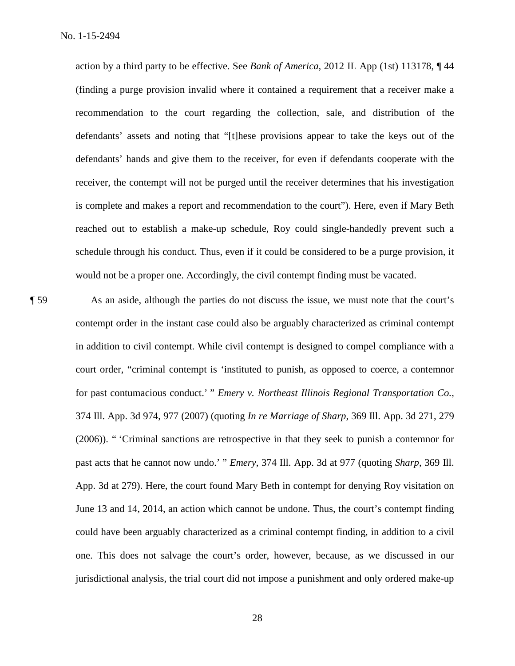action by a third party to be effective. See *Bank of America*, 2012 IL App (1st) 113178, ¶ 44 (finding a purge provision invalid where it contained a requirement that a receiver make a recommendation to the court regarding the collection, sale, and distribution of the defendants' assets and noting that "[t]hese provisions appear to take the keys out of the defendants' hands and give them to the receiver, for even if defendants cooperate with the receiver, the contempt will not be purged until the receiver determines that his investigation is complete and makes a report and recommendation to the court"). Here, even if Mary Beth reached out to establish a make-up schedule, Roy could single-handedly prevent such a schedule through his conduct. Thus, even if it could be considered to be a purge provision, it would not be a proper one. Accordingly, the civil contempt finding must be vacated.

¶ 59 As an aside, although the parties do not discuss the issue, we must note that the court's contempt order in the instant case could also be arguably characterized as criminal contempt in addition to civil contempt. While civil contempt is designed to compel compliance with a court order, "criminal contempt is 'instituted to punish, as opposed to coerce, a contemnor for past contumacious conduct.' " *Emery v. Northeast Illinois Regional Transportation Co.*, 374 Ill. App. 3d 974, 977 (2007) (quoting *In re Marriage of Sharp*, 369 Ill. App. 3d 271, 279 (2006)). " 'Criminal sanctions are retrospective in that they seek to punish a contemnor for past acts that he cannot now undo.' " *Emery*, 374 Ill. App. 3d at 977 (quoting *Sharp*, 369 Ill. App. 3d at 279). Here, the court found Mary Beth in contempt for denying Roy visitation on June 13 and 14, 2014, an action which cannot be undone. Thus, the court's contempt finding could have been arguably characterized as a criminal contempt finding, in addition to a civil one. This does not salvage the court's order, however, because, as we discussed in our jurisdictional analysis, the trial court did not impose a punishment and only ordered make-up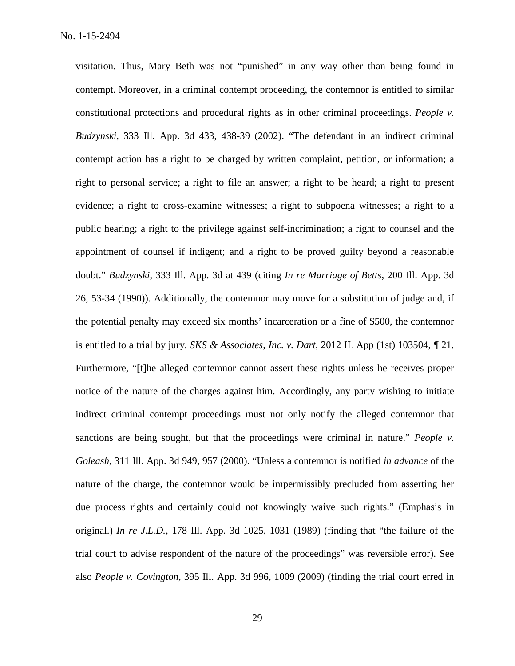visitation. Thus, Mary Beth was not "punished" in any way other than being found in contempt. Moreover, in a criminal contempt proceeding, the contemnor is entitled to similar constitutional protections and procedural rights as in other criminal proceedings. *People v. Budzynski*, 333 Ill. App. 3d 433, 438-39 (2002). "The defendant in an indirect criminal contempt action has a right to be charged by written complaint, petition, or information; a right to personal service; a right to file an answer; a right to be heard; a right to present evidence; a right to cross-examine witnesses; a right to subpoena witnesses; a right to a public hearing; a right to the privilege against self-incrimination; a right to counsel and the appointment of counsel if indigent; and a right to be proved guilty beyond a reasonable doubt." *Budzynski*, 333 Ill. App. 3d at 439 (citing *In re Marriage of Betts*, 200 Ill. App. 3d 26, 53-34 (1990)). Additionally, the contemnor may move for a substitution of judge and, if the potential penalty may exceed six months' incarceration or a fine of \$500, the contemnor is entitled to a trial by jury. *SKS & Associates, Inc. v. Dart*, 2012 IL App (1st) 103504, *¶* 21. Furthermore, "[t]he alleged contemnor cannot assert these rights unless he receives proper notice of the nature of the charges against him. Accordingly, any party wishing to initiate indirect criminal contempt proceedings must not only notify the alleged contemnor that sanctions are being sought, but that the proceedings were criminal in nature." *People v. Goleash*, 311 Ill. App. 3d 949, 957 (2000). "Unless a contemnor is notified *in advance* of the nature of the charge, the contemnor would be impermissibly precluded from asserting her due process rights and certainly could not knowingly waive such rights." (Emphasis in original.) *In re J.L.D.*, 178 Ill. App. 3d 1025, 1031 (1989) (finding that "the failure of the trial court to advise respondent of the nature of the proceedings" was reversible error). See also *People v. Covington*, 395 Ill. App. 3d 996, 1009 (2009) (finding the trial court erred in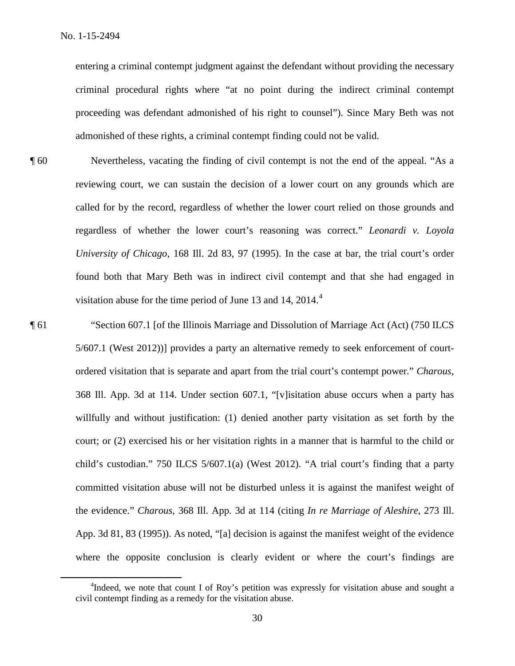entering a criminal contempt judgment against the defendant without providing the necessary criminal procedural rights where "at no point during the indirect criminal contempt proceeding was defendant admonished of his right to counsel"). Since Mary Beth was not admonished of these rights, a criminal contempt finding could not be valid.

- ¶ 60 Nevertheless, vacating the finding of civil contempt is not the end of the appeal. "As a reviewing court, we can sustain the decision of a lower court on any grounds which are called for by the record, regardless of whether the lower court relied on those grounds and regardless of whether the lower court's reasoning was correct." *Leonardi v. Loyola University of Chicago*, 168 Ill. 2d 83, 97 (1995). In the case at bar, the trial court's order found both that Mary Beth was in indirect civil contempt and that she had engaged in visitation abuse for the time period of June 13 and 14,  $2014<sup>4</sup>$
- 

¶ 61 "Section 607.1 [of the Illinois Marriage and Dissolution of Marriage Act (Act) (750 ILCS 5/607.1 (West 2012))] provides a party an alternative remedy to seek enforcement of courtordered visitation that is separate and apart from the trial court's contempt power." *Charous*, 368 Ill. App. 3d at 114. Under section 607.1, "[v]isitation abuse occurs when a party has willfully and without justification: (1) denied another party visitation as set forth by the court; or (2) exercised his or her visitation rights in a manner that is harmful to the child or child's custodian." 750 ILCS 5/607.1(a) (West 2012). "A trial court's finding that a party committed visitation abuse will not be disturbed unless it is against the manifest weight of the evidence." *Charous*, 368 Ill. App. 3d at 114 (citing *In re Marriage of Aleshire*, 273 Ill. App. 3d 81, 83 (1995)). As noted, "[a] decision is against the manifest weight of the evidence where the opposite conclusion is clearly evident or where the court's findings are

 <sup>4</sup> <sup>4</sup>Indeed, we note that count I of Roy's petition was expressly for visitation abuse and sought a civil contempt finding as a remedy for the visitation abuse.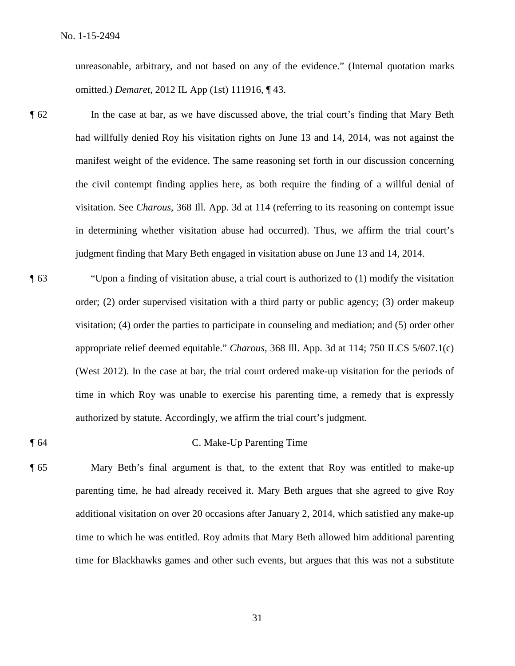unreasonable, arbitrary, and not based on any of the evidence." (Internal quotation marks omitted.) *Demaret*, 2012 IL App (1st) 111916, ¶ 43.

- ¶ 62 In the case at bar, as we have discussed above, the trial court's finding that Mary Beth had willfully denied Roy his visitation rights on June 13 and 14, 2014, was not against the manifest weight of the evidence. The same reasoning set forth in our discussion concerning the civil contempt finding applies here, as both require the finding of a willful denial of visitation. See *Charous*, 368 Ill. App. 3d at 114 (referring to its reasoning on contempt issue in determining whether visitation abuse had occurred). Thus, we affirm the trial court's judgment finding that Mary Beth engaged in visitation abuse on June 13 and 14, 2014.
- ¶ 63 "Upon a finding of visitation abuse, a trial court is authorized to (1) modify the visitation order; (2) order supervised visitation with a third party or public agency; (3) order makeup visitation; (4) order the parties to participate in counseling and mediation; and (5) order other appropriate relief deemed equitable." *Charous*, 368 Ill. App. 3d at 114; 750 ILCS 5/607.1(c) (West 2012). In the case at bar, the trial court ordered make-up visitation for the periods of time in which Roy was unable to exercise his parenting time, a remedy that is expressly authorized by statute. Accordingly, we affirm the trial court's judgment.
- ¶ 64 C. Make-Up Parenting Time
- ¶ 65 Mary Beth's final argument is that, to the extent that Roy was entitled to make-up parenting time, he had already received it. Mary Beth argues that she agreed to give Roy additional visitation on over 20 occasions after January 2, 2014, which satisfied any make-up time to which he was entitled. Roy admits that Mary Beth allowed him additional parenting time for Blackhawks games and other such events, but argues that this was not a substitute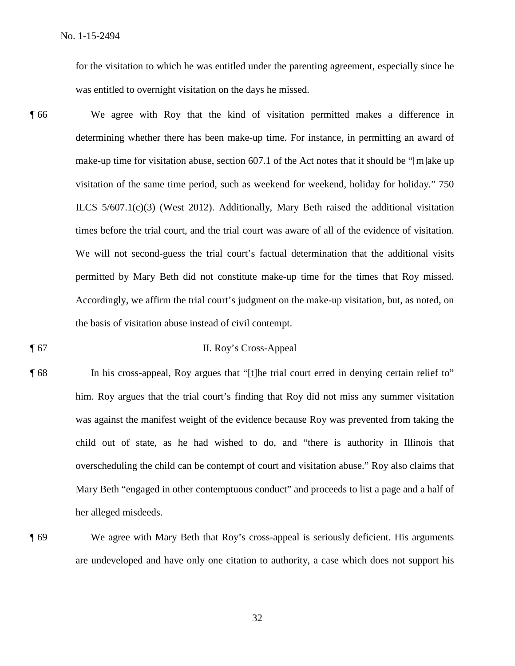for the visitation to which he was entitled under the parenting agreement, especially since he was entitled to overnight visitation on the days he missed.

¶ 66 We agree with Roy that the kind of visitation permitted makes a difference in determining whether there has been make-up time. For instance, in permitting an award of make-up time for visitation abuse, section 607.1 of the Act notes that it should be "[m]ake up visitation of the same time period, such as weekend for weekend, holiday for holiday." 750 ILCS 5/607.1(c)(3) (West 2012). Additionally, Mary Beth raised the additional visitation times before the trial court, and the trial court was aware of all of the evidence of visitation. We will not second-guess the trial court's factual determination that the additional visits permitted by Mary Beth did not constitute make-up time for the times that Roy missed. Accordingly, we affirm the trial court's judgment on the make-up visitation, but, as noted, on the basis of visitation abuse instead of civil contempt.

# ¶ 67 II. Roy's Cross-Appeal

¶ 68 In his cross-appeal, Roy argues that "[t]he trial court erred in denying certain relief to" him. Roy argues that the trial court's finding that Roy did not miss any summer visitation was against the manifest weight of the evidence because Roy was prevented from taking the child out of state, as he had wished to do, and "there is authority in Illinois that overscheduling the child can be contempt of court and visitation abuse." Roy also claims that Mary Beth "engaged in other contemptuous conduct" and proceeds to list a page and a half of her alleged misdeeds.

¶ 69 We agree with Mary Beth that Roy's cross-appeal is seriously deficient. His arguments are undeveloped and have only one citation to authority, a case which does not support his